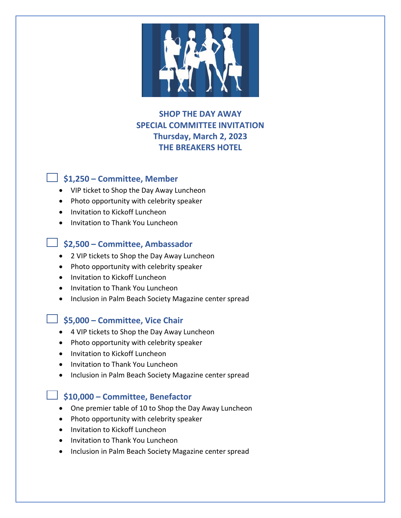

# **SHOP THE DAY AWAY SPECIAL COMMITTEE INVITATION Thursday, March 2, 2023 THE BREAKERS HOTEL**

## **\$1,250 – Committee, Member**

- VIP ticket to Shop the Day Away Luncheon
- Photo opportunity with celebrity speaker
- Invitation to Kickoff Luncheon
- Invitation to Thank You Luncheon

### **\$2,500 – Committee, Ambassador**

- 2 VIP tickets to Shop the Day Away Luncheon
- Photo opportunity with celebrity speaker
- Invitation to Kickoff Luncheon
- Invitation to Thank You Luncheon
- Inclusion in Palm Beach Society Magazine center spread

### **\$5,000 – Committee, Vice Chair**

- 4 VIP tickets to Shop the Day Away Luncheon
- Photo opportunity with celebrity speaker
- Invitation to Kickoff Luncheon
- Invitation to Thank You Luncheon
- Inclusion in Palm Beach Society Magazine center spread

### **\$10,000 – Committee, Benefactor**

- One premier table of 10 to Shop the Day Away Luncheon
- Photo opportunity with celebrity speaker
- Invitation to Kickoff Luncheon
- Invitation to Thank You Luncheon
- Inclusion in Palm Beach Society Magazine center spread